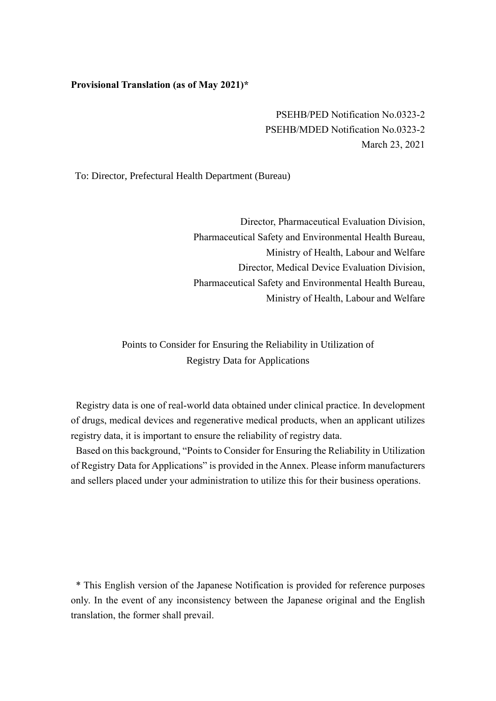## **Provisional Translation (as of May 2021)\***

PSEHB/PED Notification No.0323-2 PSEHB/MDED Notification No.0323-2 March 23, 2021

To: Director, Prefectural Health Department (Bureau)

Director, Pharmaceutical Evaluation Division, Pharmaceutical Safety and Environmental Health Bureau, Ministry of Health, Labour and Welfare Director, Medical Device Evaluation Division, Pharmaceutical Safety and Environmental Health Bureau, Ministry of Health, Labour and Welfare

Points to Consider for Ensuring the Reliability in Utilization of Registry Data for Applications

Registry data is one of real-world data obtained under clinical practice. In development of drugs, medical devices and regenerative medical products, when an applicant utilizes registry data, it is important to ensure the reliability of registry data.

Based on this background, "Points to Consider for Ensuring the Reliability in Utilization of Registry Data for Applications" is provided in the Annex. Please inform manufacturers and sellers placed under your administration to utilize this for their business operations.

\* This English version of the Japanese Notification is provided for reference purposes only. In the event of any inconsistency between the Japanese original and the English translation, the former shall prevail.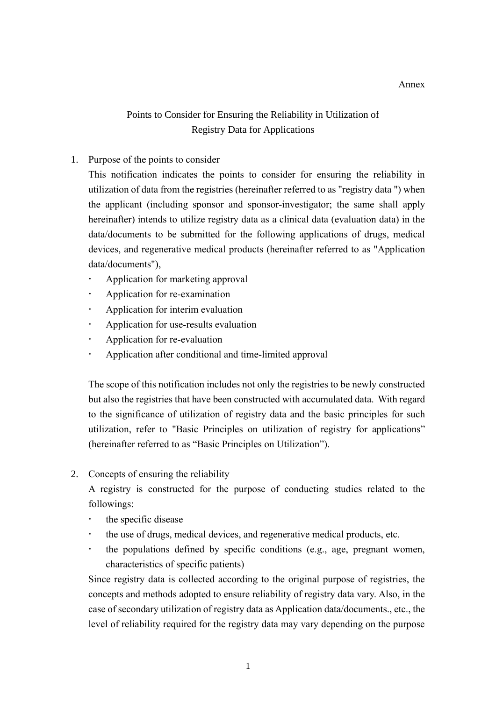## Points to Consider for Ensuring the Reliability in Utilization of Registry Data for Applications

## 1. Purpose of the points to consider

This notification indicates the points to consider for ensuring the reliability in utilization of data from the registries (hereinafter referred to as "registry data ") when the applicant (including sponsor and sponsor-investigator; the same shall apply hereinafter) intends to utilize registry data as a clinical data (evaluation data) in the data/documents to be submitted for the following applications of drugs, medical devices, and regenerative medical products (hereinafter referred to as "Application data/documents"),

- Application for marketing approval
- Application for re-examination
- Application for interim evaluation
- Application for use-results evaluation
- Application for re-evaluation
- Application after conditional and time-limited approval

The scope of this notification includes not only the registries to be newly constructed but also the registries that have been constructed with accumulated data. With regard to the significance of utilization of registry data and the basic principles for such utilization, refer to "Basic Principles on utilization of registry for applications" (hereinafter referred to as "Basic Principles on Utilization").

2. Concepts of ensuring the reliability

A registry is constructed for the purpose of conducting studies related to the followings:

- the specific disease
- the use of drugs, medical devices, and regenerative medical products, etc.
- $\cdot$  the populations defined by specific conditions (e.g., age, pregnant women, characteristics of specific patients)

Since registry data is collected according to the original purpose of registries, the concepts and methods adopted to ensure reliability of registry data vary. Also, in the case of secondary utilization of registry data as Application data/documents., etc., the level of reliability required for the registry data may vary depending on the purpose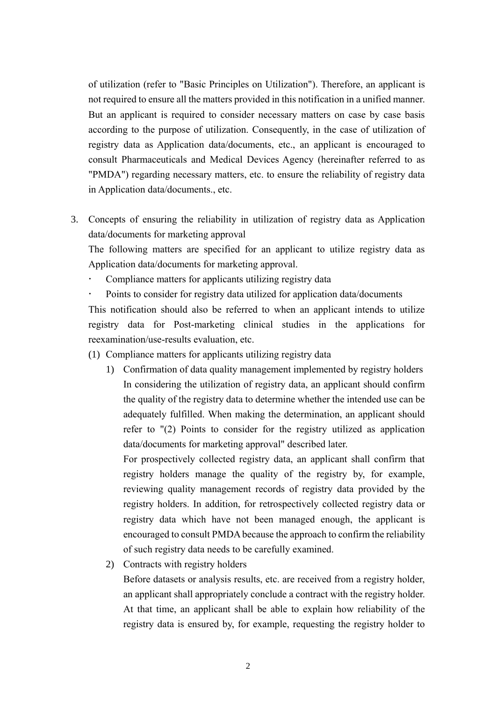of utilization (refer to "Basic Principles on Utilization"). Therefore, an applicant is not required to ensure all the matters provided in this notification in a unified manner. But an applicant is required to consider necessary matters on case by case basis according to the purpose of utilization. Consequently, in the case of utilization of registry data as Application data/documents, etc., an applicant is encouraged to consult Pharmaceuticals and Medical Devices Agency (hereinafter referred to as "PMDA") regarding necessary matters, etc. to ensure the reliability of registry data in Application data/documents., etc.

3. Concepts of ensuring the reliability in utilization of registry data as Application data/documents for marketing approval

The following matters are specified for an applicant to utilize registry data as Application data/documents for marketing approval.

- Compliance matters for applicants utilizing registry data
- Points to consider for registry data utilized for application data/documents

This notification should also be referred to when an applicant intends to utilize registry data for Post-marketing clinical studies in the applications for reexamination/use-results evaluation, etc.

- (1) Compliance matters for applicants utilizing registry data
	- 1) Confirmation of data quality management implemented by registry holders In considering the utilization of registry data, an applicant should confirm the quality of the registry data to determine whether the intended use can be adequately fulfilled. When making the determination, an applicant should refer to "(2) Points to consider for the registry utilized as application data/documents for marketing approval" described later.

For prospectively collected registry data, an applicant shall confirm that registry holders manage the quality of the registry by, for example, reviewing quality management records of registry data provided by the registry holders. In addition, for retrospectively collected registry data or registry data which have not been managed enough, the applicant is encouraged to consult PMDA because the approach to confirm the reliability of such registry data needs to be carefully examined.

2) Contracts with registry holders

Before datasets or analysis results, etc. are received from a registry holder, an applicant shall appropriately conclude a contract with the registry holder. At that time, an applicant shall be able to explain how reliability of the registry data is ensured by, for example, requesting the registry holder to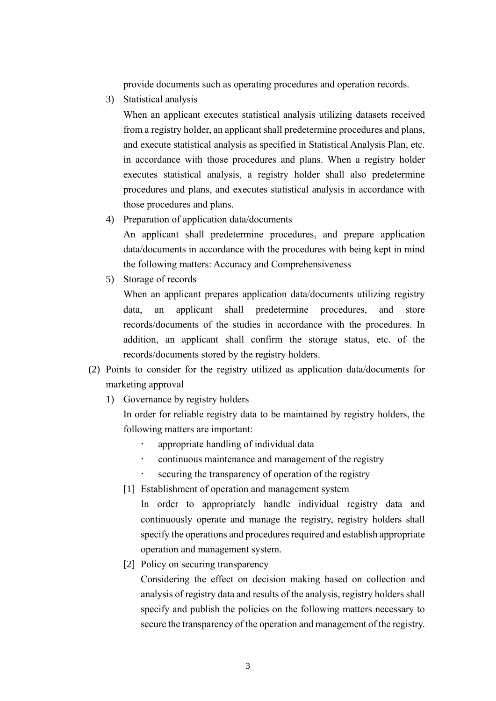provide documents such as operating procedures and operation records.

3) Statistical analysis

When an applicant executes statistical analysis utilizing datasets received from a registry holder, an applicant shall predetermine procedures and plans, and execute statistical analysis as specified in Statistical Analysis Plan, etc. in accordance with those procedures and plans. When a registry holder executes statistical analysis, a registry holder shall also predetermine procedures and plans, and executes statistical analysis in accordance with those procedures and plans.

4) Preparation of application data/documents

An applicant shall predetermine procedures, and prepare application data/documents in accordance with the procedures with being kept in mind the following matters: Accuracy and Comprehensiveness

5) Storage of records

When an applicant prepares application data/documents utilizing registry data, an applicant shall predetermine procedures, and store records/documents of the studies in accordance with the procedures. In addition, an applicant shall confirm the storage status, etc. of the records/documents stored by the registry holders.

- (2) Points to consider for the registry utilized as application data/documents for marketing approval
	- 1) Governance by registry holders

In order for reliable registry data to be maintained by registry holders, the following matters are important:

- appropriate handling of individual data
- continuous maintenance and management of the registry
- securing the transparency of operation of the registry
- [1] Establishment of operation and management system

In order to appropriately handle individual registry data and continuously operate and manage the registry, registry holders shall specify the operations and procedures required and establish appropriate operation and management system.

[2] Policy on securing transparency

Considering the effect on decision making based on collection and analysis of registry data and results of the analysis, registry holders shall specify and publish the policies on the following matters necessary to secure the transparency of the operation and management of the registry.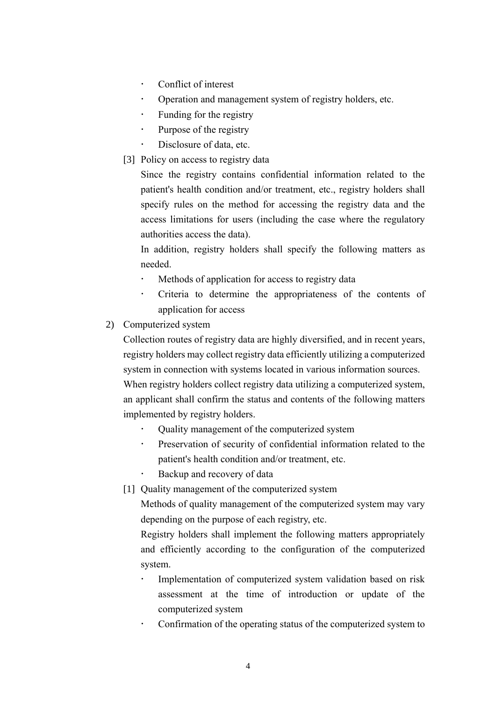- Conflict of interest
- Operation and management system of registry holders, etc.
- $\cdot$  Funding for the registry
- Purpose of the registry
- Disclosure of data, etc.
- [3] Policy on access to registry data

Since the registry contains confidential information related to the patient's health condition and/or treatment, etc., registry holders shall specify rules on the method for accessing the registry data and the access limitations for users (including the case where the regulatory authorities access the data).

In addition, registry holders shall specify the following matters as needed.

- Methods of application for access to registry data
- Criteria to determine the appropriateness of the contents of application for access
- 2) Computerized system

Collection routes of registry data are highly diversified, and in recent years, registry holders may collect registry data efficiently utilizing a computerized system in connection with systems located in various information sources.

When registry holders collect registry data utilizing a computerized system, an applicant shall confirm the status and contents of the following matters implemented by registry holders.

- Quality management of the computerized system
- Preservation of security of confidential information related to the patient's health condition and/or treatment, etc.
- Backup and recovery of data
- [1] Quality management of the computerized system

Methods of quality management of the computerized system may vary depending on the purpose of each registry, etc.

Registry holders shall implement the following matters appropriately and efficiently according to the configuration of the computerized system.

- Implementation of computerized system validation based on risk assessment at the time of introduction or update of the computerized system
- Confirmation of the operating status of the computerized system to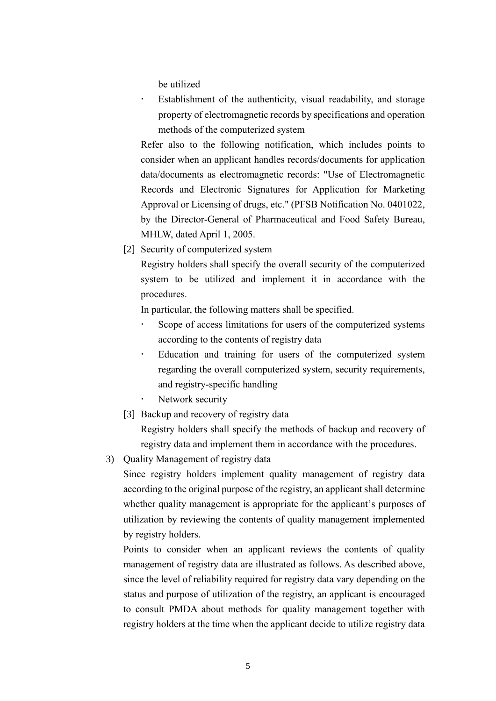be utilized

 Establishment of the authenticity, visual readability, and storage property of electromagnetic records by specifications and operation methods of the computerized system

Refer also to the following notification, which includes points to consider when an applicant handles records/documents for application data/documents as electromagnetic records: "Use of Electromagnetic Records and Electronic Signatures for Application for Marketing Approval or Licensing of drugs, etc." (PFSB Notification No. 0401022, by the Director-General of Pharmaceutical and Food Safety Bureau, MHLW, dated April 1, 2005.

[2] Security of computerized system

Registry holders shall specify the overall security of the computerized system to be utilized and implement it in accordance with the procedures.

In particular, the following matters shall be specified.

- Scope of access limitations for users of the computerized systems according to the contents of registry data
- Education and training for users of the computerized system regarding the overall computerized system, security requirements, and registry-specific handling
- Network security
- [3] Backup and recovery of registry data

Registry holders shall specify the methods of backup and recovery of registry data and implement them in accordance with the procedures.

3) Quality Management of registry data

Since registry holders implement quality management of registry data according to the original purpose of the registry, an applicant shall determine whether quality management is appropriate for the applicant's purposes of utilization by reviewing the contents of quality management implemented by registry holders.

Points to consider when an applicant reviews the contents of quality management of registry data are illustrated as follows. As described above, since the level of reliability required for registry data vary depending on the status and purpose of utilization of the registry, an applicant is encouraged to consult PMDA about methods for quality management together with registry holders at the time when the applicant decide to utilize registry data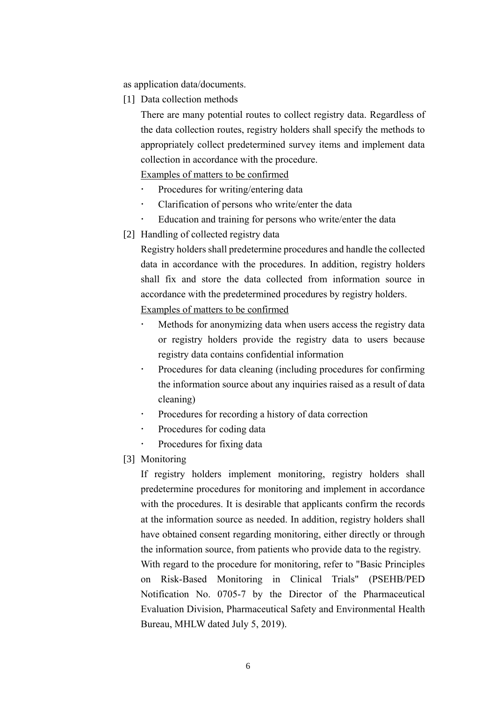as application data/documents.

[1] Data collection methods

There are many potential routes to collect registry data. Regardless of the data collection routes, registry holders shall specify the methods to appropriately collect predetermined survey items and implement data collection in accordance with the procedure.

Examples of matters to be confirmed

- Procedures for writing/entering data
- Clarification of persons who write/enter the data
- Education and training for persons who write/enter the data
- [2] Handling of collected registry data

Registry holders shall predetermine procedures and handle the collected data in accordance with the procedures. In addition, registry holders shall fix and store the data collected from information source in accordance with the predetermined procedures by registry holders. Examples of matters to be confirmed

- Methods for anonymizing data when users access the registry data or registry holders provide the registry data to users because registry data contains confidential information
- Procedures for data cleaning (including procedures for confirming the information source about any inquiries raised as a result of data cleaning)
- Procedures for recording a history of data correction
- Procedures for coding data
- Procedures for fixing data
- [3] Monitoring

If registry holders implement monitoring, registry holders shall predetermine procedures for monitoring and implement in accordance with the procedures. It is desirable that applicants confirm the records at the information source as needed. In addition, registry holders shall have obtained consent regarding monitoring, either directly or through the information source, from patients who provide data to the registry. With regard to the procedure for monitoring, refer to "Basic Principles on Risk-Based Monitoring in Clinical Trials" (PSEHB/PED Notification No. 0705-7 by the Director of the Pharmaceutical Evaluation Division, Pharmaceutical Safety and Environmental Health Bureau, MHLW dated July 5, 2019).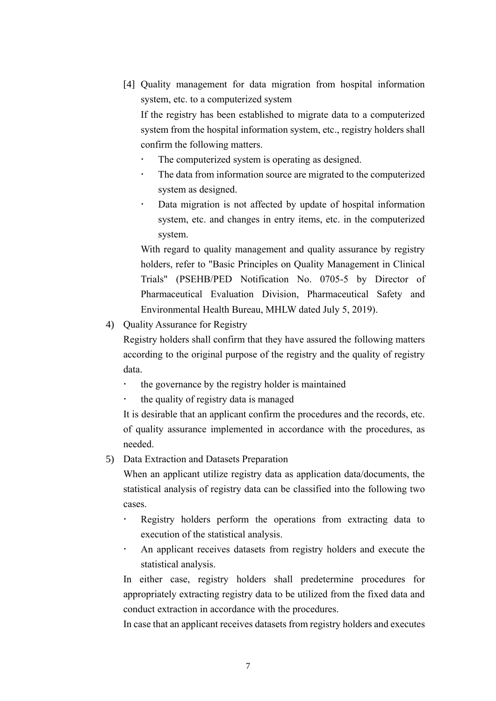- [4] Quality management for data migration from hospital information system, etc. to a computerized system If the registry has been established to migrate data to a computerized system from the hospital information system, etc., registry holders shall confirm the following matters.
	- The computerized system is operating as designed.
	- The data from information source are migrated to the computerized system as designed.
	- Data migration is not affected by update of hospital information system, etc. and changes in entry items, etc. in the computerized system.

With regard to quality management and quality assurance by registry holders, refer to "Basic Principles on Quality Management in Clinical Trials" (PSEHB/PED Notification No. 0705-5 by Director of Pharmaceutical Evaluation Division, Pharmaceutical Safety and Environmental Health Bureau, MHLW dated July 5, 2019).

4) Quality Assurance for Registry

Registry holders shall confirm that they have assured the following matters according to the original purpose of the registry and the quality of registry data.

- the governance by the registry holder is maintained
- the quality of registry data is managed

It is desirable that an applicant confirm the procedures and the records, etc. of quality assurance implemented in accordance with the procedures, as needed.

5) Data Extraction and Datasets Preparation

When an applicant utilize registry data as application data/documents, the statistical analysis of registry data can be classified into the following two cases.

- Registry holders perform the operations from extracting data to execution of the statistical analysis.
- An applicant receives datasets from registry holders and execute the statistical analysis.

In either case, registry holders shall predetermine procedures for appropriately extracting registry data to be utilized from the fixed data and conduct extraction in accordance with the procedures.

In case that an applicant receives datasets from registry holders and executes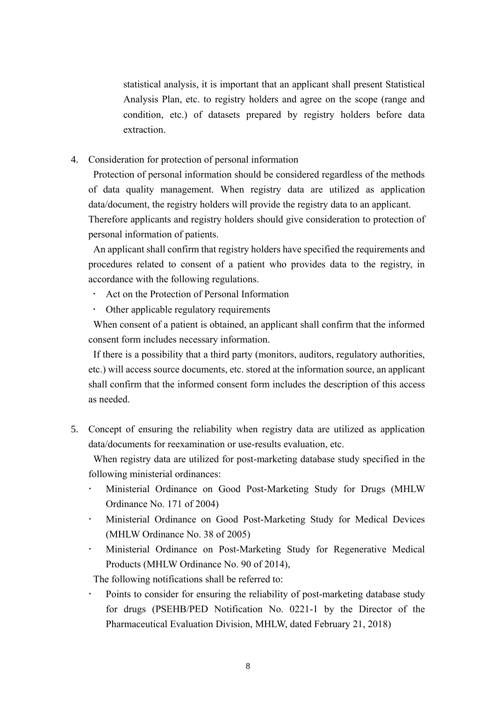statistical analysis, it is important that an applicant shall present Statistical Analysis Plan, etc. to registry holders and agree on the scope (range and condition, etc.) of datasets prepared by registry holders before data extraction.

4. Consideration for protection of personal information

Protection of personal information should be considered regardless of the methods of data quality management. When registry data are utilized as application data/document, the registry holders will provide the registry data to an applicant. Therefore applicants and registry holders should give consideration to protection of personal information of patients.

An applicant shall confirm that registry holders have specified the requirements and procedures related to consent of a patient who provides data to the registry, in accordance with the following regulations.

- Act on the Protection of Personal Information
- Other applicable regulatory requirements

When consent of a patient is obtained, an applicant shall confirm that the informed consent form includes necessary information.

If there is a possibility that a third party (monitors, auditors, regulatory authorities, etc.) will access source documents, etc. stored at the information source, an applicant shall confirm that the informed consent form includes the description of this access as needed.

5. Concept of ensuring the reliability when registry data are utilized as application data/documents for reexamination or use-results evaluation, etc.

When registry data are utilized for post-marketing database study specified in the following ministerial ordinances:

- Ministerial Ordinance on Good Post-Marketing Study for Drugs (MHLW Ordinance No. 171 of 2004)
- Ministerial Ordinance on Good Post-Marketing Study for Medical Devices (MHLW Ordinance No. 38 of 2005)
- Ministerial Ordinance on Post-Marketing Study for Regenerative Medical Products (MHLW Ordinance No. 90 of 2014),

The following notifications shall be referred to:

 Points to consider for ensuring the reliability of post-marketing database study for drugs (PSEHB/PED Notification No. 0221-1 by the Director of the Pharmaceutical Evaluation Division, MHLW, dated February 21, 2018)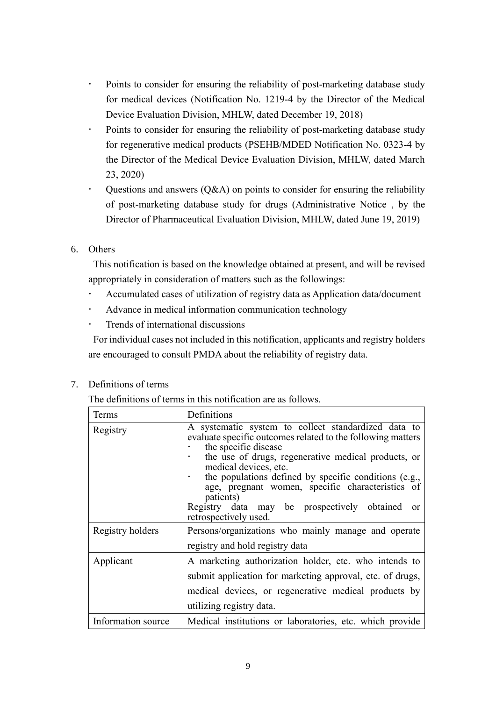- Points to consider for ensuring the reliability of post-marketing database study for medical devices (Notification No. 1219-4 by the Director of the Medical Device Evaluation Division, MHLW, dated December 19, 2018)
- Points to consider for ensuring the reliability of post-marketing database study for regenerative medical products (PSEHB/MDED Notification No. 0323-4 by the Director of the Medical Device Evaluation Division, MHLW, dated March 23, 2020)
- Questions and answers  $(Q&A)$  on points to consider for ensuring the reliability of post-marketing database study for drugs (Administrative Notice , by the Director of Pharmaceutical Evaluation Division, MHLW, dated June 19, 2019)
- 6. Others

This notification is based on the knowledge obtained at present, and will be revised appropriately in consideration of matters such as the followings:

- Accumulated cases of utilization of registry data as Application data/document
- Advance in medical information communication technology
- $\cdot$  Trends of international discussions

For individual cases not included in this notification, applicants and registry holders are encouraged to consult PMDA about the reliability of registry data.

The definitions of terms in this notification are as follows.

| Terms              | Definitions                                                                                                                                                                                                                                                                                                                                                                                                                                   |
|--------------------|-----------------------------------------------------------------------------------------------------------------------------------------------------------------------------------------------------------------------------------------------------------------------------------------------------------------------------------------------------------------------------------------------------------------------------------------------|
| Registry           | A systematic system to collect standardized data to<br>evaluate specific outcomes related to the following matters<br>the specific disease<br>the use of drugs, regenerative medical products, or<br>medical devices, etc.<br>the populations defined by specific conditions (e.g.,<br>age, pregnant women, specific characteristics of<br>patients)<br>Registry data may be prospectively obtained<br><sub>or</sub><br>retrospectively used. |
| Registry holders   | Persons/organizations who mainly manage and operate<br>registry and hold registry data                                                                                                                                                                                                                                                                                                                                                        |
| Applicant          | A marketing authorization holder, etc. who intends to<br>submit application for marketing approval, etc. of drugs,<br>medical devices, or regenerative medical products by<br>utilizing registry data.                                                                                                                                                                                                                                        |
| Information source | Medical institutions or laboratories, etc. which provide                                                                                                                                                                                                                                                                                                                                                                                      |